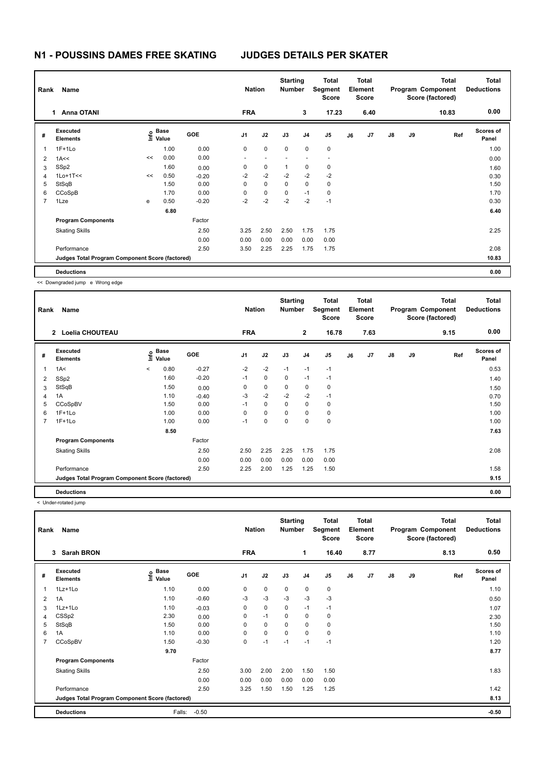## **N1 - POUSSINS DAMES FREE SKATING JUDGES DETAILS PER SKATER**

| Rank<br>Name |                                                 |    |                    |            |                          | <b>Nation</b> |              | <b>Starting</b><br><b>Number</b> | Total<br>Segment<br><b>Score</b> | <b>Total</b><br>Element<br><b>Score</b> |                |               |    | <b>Total</b><br>Program Component<br>Score (factored) | <b>Total</b><br><b>Deductions</b> |
|--------------|-------------------------------------------------|----|--------------------|------------|--------------------------|---------------|--------------|----------------------------------|----------------------------------|-----------------------------------------|----------------|---------------|----|-------------------------------------------------------|-----------------------------------|
|              | <b>Anna OTANI</b><br>1                          |    |                    |            | <b>FRA</b>               |               |              | 3                                | 17.23                            |                                         | 6.40           |               |    | 10.83                                                 | 0.00                              |
| #            | Executed<br><b>Elements</b>                     |    | $\frac{6}{5}$ Base | <b>GOE</b> | J <sub>1</sub>           | J2            | J3           | J <sub>4</sub>                   | J <sub>5</sub>                   | J6                                      | J <sub>7</sub> | $\mathsf{J}8$ | J9 | Ref                                                   | <b>Scores of</b><br>Panel         |
| 1            | $1F+1Lo$                                        |    | 1.00               | 0.00       | 0                        | $\mathbf 0$   | $\mathbf 0$  | $\mathbf 0$                      | $\mathbf 0$                      |                                         |                |               |    |                                                       | 1.00                              |
| 2            | 1A <<                                           | << | 0.00               | 0.00       | $\overline{\phantom{a}}$ |               |              |                                  | $\overline{\phantom{a}}$         |                                         |                |               |    |                                                       | 0.00                              |
| 3            | SSp2                                            |    | 1.60               | 0.00       | 0                        | $\mathbf 0$   | $\mathbf{1}$ | 0                                | $\mathbf 0$                      |                                         |                |               |    |                                                       | 1.60                              |
| 4            | $1$ Lo+ $1$ T<<                                 | << | 0.50               | $-0.20$    | $-2$                     | $-2$          | $-2$         | $-2$                             | $-2$                             |                                         |                |               |    |                                                       | 0.30                              |
| 5            | StSqB                                           |    | 1.50               | 0.00       | $\Omega$                 | $\mathbf 0$   | $\Omega$     | 0                                | 0                                |                                         |                |               |    |                                                       | 1.50                              |
| 6            | CCoSpB                                          |    | 1.70               | 0.00       | 0                        | $\mathbf 0$   | $\mathbf 0$  | $-1$                             | 0                                |                                         |                |               |    |                                                       | 1.70                              |
| 7            | 1Lze                                            | e  | 0.50               | $-0.20$    | $-2$                     | $-2$          | $-2$         | $-2$                             | $-1$                             |                                         |                |               |    |                                                       | 0.30                              |
|              |                                                 |    | 6.80               |            |                          |               |              |                                  |                                  |                                         |                |               |    |                                                       | 6.40                              |
|              | <b>Program Components</b>                       |    |                    | Factor     |                          |               |              |                                  |                                  |                                         |                |               |    |                                                       |                                   |
|              | <b>Skating Skills</b>                           |    |                    | 2.50       | 3.25                     | 2.50          | 2.50         | 1.75                             | 1.75                             |                                         |                |               |    |                                                       | 2.25                              |
|              |                                                 |    |                    | 0.00       | 0.00                     | 0.00          | 0.00         | 0.00                             | 0.00                             |                                         |                |               |    |                                                       |                                   |
|              | Performance                                     |    |                    | 2.50       | 3.50                     | 2.25          | 2.25         | 1.75                             | 1.75                             |                                         |                |               |    |                                                       | 2.08                              |
|              | Judges Total Program Component Score (factored) |    |                    |            |                          |               |              |                                  |                                  |                                         |                |               |    |                                                       | 10.83                             |
|              | <b>Deductions</b>                               |    |                    |            |                          |               |              |                                  |                                  |                                         |                |               |    |                                                       | 0.00                              |

<< Downgraded jump e Wrong edge

| Name<br>Rank   |                                                 |         |                           |            |                | <b>Nation</b> |             | <b>Starting</b><br><b>Number</b> | <b>Total</b><br>Segment<br><b>Score</b> | <b>Total</b><br>Element<br><b>Score</b> |      |               |    | <b>Total</b><br>Program Component<br>Score (factored) | <b>Total</b><br><b>Deductions</b> |
|----------------|-------------------------------------------------|---------|---------------------------|------------|----------------|---------------|-------------|----------------------------------|-----------------------------------------|-----------------------------------------|------|---------------|----|-------------------------------------------------------|-----------------------------------|
|                | <b>Loelia CHOUTEAU</b><br>$\mathbf{2}$          |         |                           |            | <b>FRA</b>     |               |             | $\mathbf{2}$                     | 16.78                                   |                                         | 7.63 |               |    | 9.15                                                  | 0.00                              |
| #              | Executed<br><b>Elements</b>                     |         | Base<br>e Base<br>⊆ Value | <b>GOE</b> | J <sub>1</sub> | J2            | J3          | J <sub>4</sub>                   | J5                                      | J6                                      | J7   | $\mathsf{J}8$ | J9 | Ref                                                   | <b>Scores of</b><br>Panel         |
| $\mathbf 1$    | 1A<                                             | $\prec$ | 0.80                      | $-0.27$    | $-2$           | $-2$          | $-1$        | $-1$                             | $-1$                                    |                                         |      |               |    |                                                       | 0.53                              |
| $\overline{2}$ | SSp2                                            |         | 1.60                      | $-0.20$    | $-1$           | 0             | 0           | $-1$                             | $-1$                                    |                                         |      |               |    |                                                       | 1.40                              |
| 3              | StSqB                                           |         | 1.50                      | 0.00       | 0              | $\mathbf 0$   | $\mathbf 0$ | $\mathbf 0$                      | $\mathbf 0$                             |                                         |      |               |    |                                                       | 1.50                              |
| 4              | 1A                                              |         | 1.10                      | $-0.40$    | $-3$           | $-2$          | $-2$        | $-2$                             | $-1$                                    |                                         |      |               |    |                                                       | 0.70                              |
| 5              | CCoSpBV                                         |         | 1.50                      | 0.00       | $-1$           | 0             | $\Omega$    | 0                                | 0                                       |                                         |      |               |    |                                                       | 1.50                              |
| 6              | $1F+1Lo$                                        |         | 1.00                      | 0.00       | 0              | $\mathbf 0$   | 0           | 0                                | 0                                       |                                         |      |               |    |                                                       | 1.00                              |
| 7              | $1F+1Lo$                                        |         | 1.00                      | 0.00       | $-1$           | 0             | 0           | 0                                | $\mathbf 0$                             |                                         |      |               |    |                                                       | 1.00                              |
|                |                                                 |         | 8.50                      |            |                |               |             |                                  |                                         |                                         |      |               |    |                                                       | 7.63                              |
|                | <b>Program Components</b>                       |         |                           | Factor     |                |               |             |                                  |                                         |                                         |      |               |    |                                                       |                                   |
|                | <b>Skating Skills</b>                           |         |                           | 2.50       | 2.50           | 2.25          | 2.25        | 1.75                             | 1.75                                    |                                         |      |               |    |                                                       | 2.08                              |
|                |                                                 |         |                           | 0.00       | 0.00           | 0.00          | 0.00        | 0.00                             | 0.00                                    |                                         |      |               |    |                                                       |                                   |
|                | Performance                                     |         |                           | 2.50       | 2.25           | 2.00          | 1.25        | 1.25                             | 1.50                                    |                                         |      |               |    |                                                       | 1.58                              |
|                | Judges Total Program Component Score (factored) |         |                           |            |                |               |             |                                  |                                         |                                         |      |               |    |                                                       | 9.15                              |
|                | <b>Deductions</b>                               |         |                           |            |                |               |             |                                  |                                         |                                         |      |               |    |                                                       | 0.00                              |

< Under-rotated jump

| Name<br>Rank   |                                                 |                           |            |                | <b>Nation</b> |             | <b>Starting</b><br><b>Number</b> | Total<br>Segment<br><b>Score</b> | <b>Total</b><br>Element<br><b>Score</b> |      |               |    | <b>Total</b><br>Program Component<br>Score (factored) | Total<br><b>Deductions</b> |
|----------------|-------------------------------------------------|---------------------------|------------|----------------|---------------|-------------|----------------------------------|----------------------------------|-----------------------------------------|------|---------------|----|-------------------------------------------------------|----------------------------|
|                | <b>Sarah BRON</b><br>3                          |                           |            | <b>FRA</b>     |               |             | 1                                | 16.40                            |                                         | 8.77 |               |    | 8.13                                                  | 0.50                       |
| #              | Executed<br><b>Elements</b>                     | Base<br>e Base<br>E Value | <b>GOE</b> | J <sub>1</sub> | J2            | J3          | J <sub>4</sub>                   | J <sub>5</sub>                   | J6                                      | J7   | $\mathsf{J}8$ | J9 | Ref                                                   | <b>Scores of</b><br>Panel  |
| 1              | 1Lz+1Lo                                         | 1.10                      | 0.00       | 0              | 0             | 0           | $\pmb{0}$                        | $\pmb{0}$                        |                                         |      |               |    |                                                       | 1.10                       |
| $\overline{2}$ | 1A                                              | 1.10                      | $-0.60$    | $-3$           | $-3$          | $-3$        | $-3$                             | $-3$                             |                                         |      |               |    |                                                       | 0.50                       |
| 3              | 1Lz+1Lo                                         | 1.10                      | $-0.03$    | 0              | $\mathbf 0$   | $\mathbf 0$ | $-1$                             | $-1$                             |                                         |      |               |    |                                                       | 1.07                       |
| 4              | CSSp2                                           | 2.30                      | 0.00       | 0              | $-1$          | 0           | $\mathbf 0$                      | 0                                |                                         |      |               |    |                                                       | 2.30                       |
| 5              | StSqB                                           | 1.50                      | 0.00       | 0              | 0             | 0           | $\mathbf 0$                      | 0                                |                                         |      |               |    |                                                       | 1.50                       |
| 6              | 1A                                              | 1.10                      | 0.00       | 0              | $\mathbf 0$   | $\mathbf 0$ | $\mathbf 0$                      | 0                                |                                         |      |               |    |                                                       | 1.10                       |
| $\overline{7}$ | CCoSpBV                                         | 1.50                      | $-0.30$    | 0              | $-1$          | $-1$        | $-1$                             | $-1$                             |                                         |      |               |    |                                                       | 1.20                       |
|                |                                                 | 9.70                      |            |                |               |             |                                  |                                  |                                         |      |               |    |                                                       | 8.77                       |
|                | <b>Program Components</b>                       |                           | Factor     |                |               |             |                                  |                                  |                                         |      |               |    |                                                       |                            |
|                | <b>Skating Skills</b>                           |                           | 2.50       | 3.00           | 2.00          | 2.00        | 1.50                             | 1.50                             |                                         |      |               |    |                                                       | 1.83                       |
|                |                                                 |                           | 0.00       | 0.00           | 0.00          | 0.00        | 0.00                             | 0.00                             |                                         |      |               |    |                                                       |                            |
|                | Performance                                     |                           | 2.50       | 3.25           | 1.50          | 1.50        | 1.25                             | 1.25                             |                                         |      |               |    |                                                       | 1.42                       |
|                | Judges Total Program Component Score (factored) |                           |            |                |               |             |                                  |                                  |                                         |      |               |    |                                                       | 8.13                       |
|                | <b>Deductions</b>                               | Falls:                    | $-0.50$    |                |               |             |                                  |                                  |                                         |      |               |    |                                                       | $-0.50$                    |